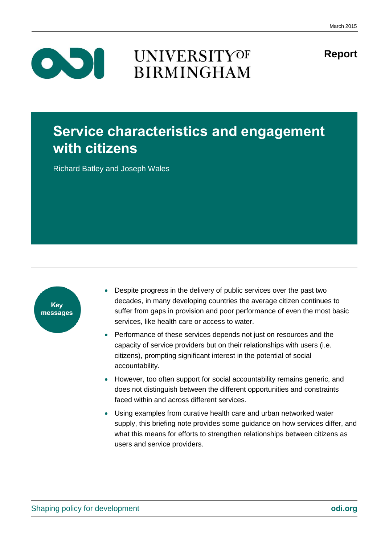**Report**

 $\bullet$ 

### **UNIVERSITYOF BIRMINGHAM**

### **Service characteristics and engagement with citizens**

Richard Batley and Joseph Wales



- Despite progress in the delivery of public services over the past two decades, in many developing countries the average citizen continues to suffer from gaps in provision and poor performance of even the most basic services, like health care or access to water.
- Performance of these services depends not just on resources and the capacity of service providers but on their relationships with users (i.e. citizens), prompting significant interest in the potential of social accountability.
- However, too often support for social accountability remains generic, and does not distinguish between the different opportunities and constraints faced within and across different services.
- Using examples from curative health care and urban networked water supply, this briefing note provides some guidance on how services differ, and what this means for efforts to strengthen relationships between citizens as users and service providers.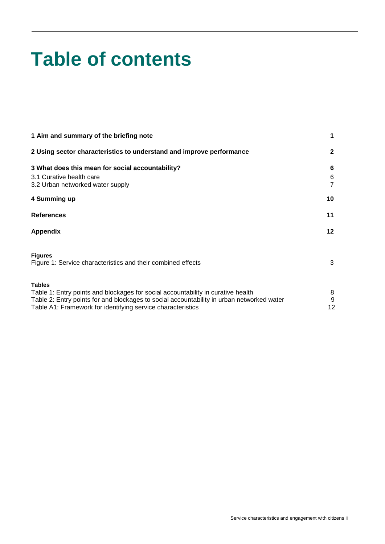# **Table of contents**

| 1 Aim and summary of the briefing note                                                                                                                                                                                                                        |                             |
|---------------------------------------------------------------------------------------------------------------------------------------------------------------------------------------------------------------------------------------------------------------|-----------------------------|
| 2 Using sector characteristics to understand and improve performance                                                                                                                                                                                          | $\mathbf{2}$                |
| 3 What does this mean for social accountability?                                                                                                                                                                                                              | 6                           |
| 3.1 Curative health care<br>3.2 Urban networked water supply                                                                                                                                                                                                  | 6<br>$\overline{7}$         |
| 4 Summing up                                                                                                                                                                                                                                                  | 10                          |
| <b>References</b>                                                                                                                                                                                                                                             | 11                          |
| <b>Appendix</b>                                                                                                                                                                                                                                               | $12 \,$                     |
| <b>Figures</b><br>Figure 1: Service characteristics and their combined effects                                                                                                                                                                                | 3                           |
| <b>Tables</b><br>Table 1: Entry points and blockages for social accountability in curative health<br>Table 2: Entry points for and blockages to social accountability in urban networked water<br>Table A1: Framework for identifying service characteristics | 8<br>$\boldsymbol{9}$<br>12 |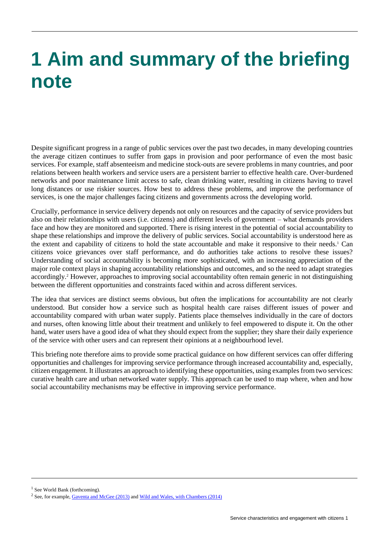### <span id="page-2-0"></span>**1 Aim and summary of the briefing note**

Despite significant progress in a range of public services over the past two decades, in many developing countries the average citizen continues to suffer from gaps in provision and poor performance of even the most basic services. For example, staff absenteeism and medicine stock-outs are severe problems in many countries, and poor relations between health workers and service users are a persistent barrier to effective health care. Over-burdened networks and poor maintenance limit access to safe, clean drinking water, resulting in citizens having to travel long distances or use riskier sources. How best to address these problems, and improve the performance of services, is one the major challenges facing citizens and governments across the developing world.

Crucially, performance in service delivery depends not only on resources and the capacity of service providers but also on their relationships with users (i.e. citizens) and different levels of government – what demands providers face and how they are monitored and supported. There is rising interest in the potential of social accountability to shape these relationships and improve the delivery of public services. Social accountability is understood here as the extent and capability of citizens to hold the state accountable and make it responsive to their needs.<sup>1</sup> Can citizens voice grievances over staff performance, and do authorities take actions to resolve these issues? Understanding of social accountability is becoming more sophisticated, with an increasing appreciation of the major role context plays in shaping accountability relationships and outcomes, and so the need to adapt strategies accordingly.<sup>2</sup> However, approaches to improving social accountability often remain generic in not distinguishing between the different opportunities and constraints faced within and across different services.

The idea that services are distinct seems obvious, but often the implications for accountability are not clearly understood. But consider how a service such as hospital health care raises different issues of power and accountability compared with urban water supply. Patients place themselves individually in the care of doctors and nurses, often knowing little about their treatment and unlikely to feel empowered to dispute it. On the other hand, water users have a good idea of what they should expect from the supplier; they share their daily experience of the service with other users and can represent their opinions at a neighbourhood level.

This briefing note therefore aims to provide some practical guidance on how different services can offer differing opportunities and challenges for improving service performance through increased accountability and, especially, citizen engagement. It illustrates an approach to identifying these opportunities, using examples from two services: curative health care and urban networked water supply. This approach can be used to map where, when and how social accountability mechanisms may be effective in improving service performance.

<sup>1</sup> See World Bank (forthcoming).

<sup>&</sup>lt;sup>2</sup> See, for example, *Gaventa and McGee (2013)* and *Wild and Wales, with Chambers (2014)*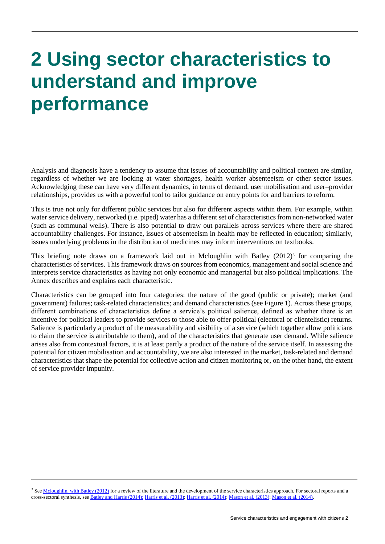## <span id="page-3-0"></span>**2 Using sector characteristics to understand and improve performance**

Analysis and diagnosis have a tendency to assume that issues of accountability and political context are similar, regardless of whether we are looking at water shortages, health worker absenteeism or other sector issues. Acknowledging these can have very different dynamics, in terms of demand, user mobilisation and user–provider relationships, provides us with a powerful tool to tailor guidance on entry points for and barriers to reform.

This is true not only for different public services but also for different aspects within them. For example, within water service delivery, networked (i.e. piped) water has a different set of characteristics from non-networked water (such as communal wells). There is also potential to draw out parallels across services where there are shared accountability challenges. For instance, issues of absenteeism in health may be reflected in education; similarly, issues underlying problems in the distribution of medicines may inform interventions on textbooks.

This briefing note draws on a framework laid out in Mcloughlin with Batley  $(2012)^3$  for comparing the characteristics of services. This framework draws on sources from economics, management and social science and interprets service characteristics as having not only economic and managerial but also political implications. The Annex describes and explains each characteristic.

Characteristics can be grouped into four categories: the nature of the good (public or private); market (and government) failures; task-related characteristics; and demand characteristics (see Figure 1). Across these groups, different combinations of characteristics define a service's political salience, defined as whether there is an incentive for political leaders to provide services to those able to offer political (electoral or clientelistic) returns. Salience is particularly a product of the measurability and visibility of a service (which together allow politicians to claim the service is attributable to them), and of the characteristics that generate user demand. While salience arises also from contextual factors, it is at least partly a product of the nature of the service itself. In assessing the potential for citizen mobilisation and accountability, we are also interested in the market, task-related and demand characteristics that shape the potential for collective action and citizen monitoring or, on the other hand, the extent of service provider impunity.

<sup>3</sup> See Mcloughlin, [with Batley \(2012\)](http://www.odi.org/sites/odi.org.uk/files/odi-assets/publications-opinion-files/7790.pdf) for a review of the literature and the development of the service characteristics approach. For sectoral reports and a cross-sectoral synthesis, se[e Batley and Harris \(2014\)](http://www.odi.org/sites/odi.org.uk/files/odi-assets/publications-opinion-files/8913.pdf); [Harris et al.](http://www.odi.org/sites/odi.org.uk/files/odi-assets/publications-opinion-files/8573.pdf) (2013); [Harris et al.](http://www.odi.org/sites/odi.org.uk/files/odi-assets/publications-opinion-files/8888.pdf) (2014)[; Mason et al.](http://www.odi.org/sites/odi.org.uk/files/odi-assets/publications-opinion-files/8640.pdf) (2013); [Mason et al.](http://www.odi.org/sites/odi.org.uk/files/odi-assets/publications-opinion-files/8840.pdf) (2014).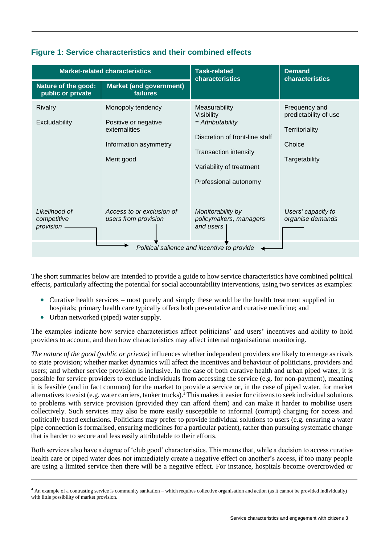| <b>Market-related characteristics</b>       |                                                                                                   | <b>Task-related</b><br>characteristics                                                                                                                                    | <b>Demand</b><br>characteristics                                                    |
|---------------------------------------------|---------------------------------------------------------------------------------------------------|---------------------------------------------------------------------------------------------------------------------------------------------------------------------------|-------------------------------------------------------------------------------------|
| Nature of the good:<br>public or private    | <b>Market (and government)</b><br>failures                                                        |                                                                                                                                                                           |                                                                                     |
| Rivalry<br>Excludability                    | Monopoly tendency<br>Positive or negative<br>externalities<br>Information asymmetry<br>Merit good | Measurability<br>Visibility<br>$=$ Attributability<br>Discretion of front-line staff<br><b>Transaction intensity</b><br>Variability of treatment<br>Professional autonomy | Frequency and<br>predictability of use<br>Territoriality<br>Choice<br>Targetability |
| Likelihood of<br>competitive<br>provision.  | Access to or exclusion of<br>users from provision                                                 | Monitorability by<br>policymakers, managers<br>and users                                                                                                                  | Users' capacity to<br>organise demands                                              |
| Political salience and incentive to provide |                                                                                                   |                                                                                                                                                                           |                                                                                     |

#### **Figure 1: Service characteristics and their combined effects**

The short summaries below are intended to provide a guide to how service characteristics have combined political effects, particularly affecting the potential for social accountability interventions, using two services as examples:

- Curative health services most purely and simply these would be the health treatment supplied in hospitals; primary health care typically offers both preventative and curative medicine; and
- Urban networked (piped) water supply.

The examples indicate how service characteristics affect politicians' and users' incentives and ability to hold providers to account, and then how characteristics may affect internal organisational monitoring.

*The nature of the good (public or private)* influences whether independent providers are likely to emerge as rivals to state provision; whether market dynamics will affect the incentives and behaviour of politicians, providers and users; and whether service provision is inclusive. In the case of both curative health and urban piped water, it is possible for service providers to exclude individuals from accessing the service (e.g. for non-payment), meaning it is feasible (and in fact common) for the market to provide a service or, in the case of piped water, for market alternatives to exist (e.g. water carriers, tanker trucks).<sup>4</sup> This makes it easier for citizens to seek individual solutions to problems with service provision (provided they can afford them) and can make it harder to mobilise users collectively. Such services may also be more easily susceptible to informal (corrupt) charging for access and politically based exclusions. Politicians may prefer to provide individual solutions to users (e.g. ensuring a water pipe connection is formalised, ensuring medicines for a particular patient), rather than pursuing systematic change that is harder to secure and less easily attributable to their efforts.

Both services also have a degree of 'club good' characteristics. This means that, while a decision to access curative health care or piped water does not immediately create a negative effect on another's access, if too many people are using a limited service then there will be a negative effect. For instance, hospitals become overcrowded or

<sup>&</sup>lt;sup>4</sup> An example of a contrasting service is community sanitation – which requires collective organisation and action (as it cannot be provided individually) with little possibility of market provision.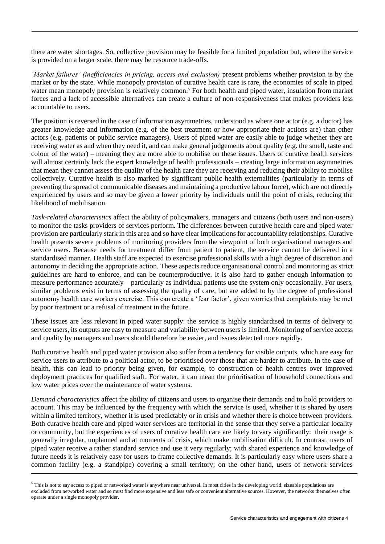there are water shortages. So, collective provision may be feasible for a limited population but, where the service is provided on a larger scale, there may be resource trade-offs.

*'Market failures' (inefficiencies in pricing, access and exclusion)* present problems whether provision is by the market or by the state. While monopoly provision of curative health care is rare, the economies of scale in piped water mean monopoly provision is relatively common.<sup>5</sup> For both health and piped water, insulation from market forces and a lack of accessible alternatives can create a culture of non-responsiveness that makes providers less accountable to users.

The position is reversed in the case of information asymmetries, understood as where one actor (e.g. a doctor) has greater knowledge and information (e.g. of the best treatment or how appropriate their actions are) than other actors (e.g. patients or public service managers). Users of piped water are easily able to judge whether they are receiving water as and when they need it, and can make general judgements about quality (e.g. the smell, taste and colour of the water) – meaning they are more able to mobilise on these issues. Users of curative health services will almost certainly lack the expert knowledge of health professionals – creating large information asymmetries that mean they cannot assess the quality of the health care they are receiving and reducing their ability to mobilise collectively. Curative health is also marked by significant public health externalities (particularly in terms of preventing the spread of communicable diseases and maintaining a productive labour force), which are not directly experienced by users and so may be given a lower priority by individuals until the point of crisis, reducing the likelihood of mobilisation.

*Task-related characteristics* affect the ability of policymakers, managers and citizens (both users and non-users) to monitor the tasks providers of services perform. The differences between curative health care and piped water provision are particularly stark in this area and so have clear implications for accountability relationships. Curative health presents severe problems of monitoring providers from the viewpoint of both organisational managers and service users. Because needs for treatment differ from patient to patient, the service cannot be delivered in a standardised manner. Health staff are expected to exercise professional skills with a high degree of discretion and autonomy in deciding the appropriate action. These aspects reduce organisational control and monitoring as strict guidelines are hard to enforce, and can be counterproductive. It is also hard to gather enough information to measure performance accurately – particularly as individual patients use the system only occasionally. For users, similar problems exist in terms of assessing the quality of care, but are added to by the degree of professional autonomy health care workers exercise. This can create a 'fear factor', given worries that complaints may be met by poor treatment or a refusal of treatment in the future.

These issues are less relevant in piped water supply: the service is highly standardised in terms of delivery to service users, its outputs are easy to measure and variability between users is limited. Monitoring of service access and quality by managers and users should therefore be easier, and issues detected more rapidly.

Both curative health and piped water provision also suffer from a tendency for visible outputs, which are easy for service users to attribute to a political actor, to be prioritised over those that are harder to attribute. In the case of health, this can lead to priority being given, for example, to construction of health centres over improved deployment practices for qualified staff. For water, it can mean the prioritisation of household connections and low water prices over the maintenance of water systems.

*Demand characteristics* affect the ability of citizens and users to organise their demands and to hold providers to account. This may be influenced by the frequency with which the service is used, whether it is shared by users within a limited territory, whether it is used predictably or in crisis and whether there is choice between providers. Both curative health care and piped water services are territorial in the sense that they serve a particular locality or community, but the experiences of users of curative health care are likely to vary significantly: their usage is generally irregular, unplanned and at moments of crisis, which make mobilisation difficult. In contrast, users of piped water receive a rather standard service and use it very regularly; with shared experience and knowledge of future needs it is relatively easy for users to frame collective demands. It is particularly easy where users share a common facility (e.g. a standpipe) covering a small territory; on the other hand, users of network services

<sup>&</sup>lt;sup>5</sup> This is not to say access to piped or networked water is anywhere near universal. In most cities in the developing world, sizeable populations are excluded from networked water and so must find more expensive and less safe or convenient alternative sources. However, the networks themselves often operate under a single monopoly provider.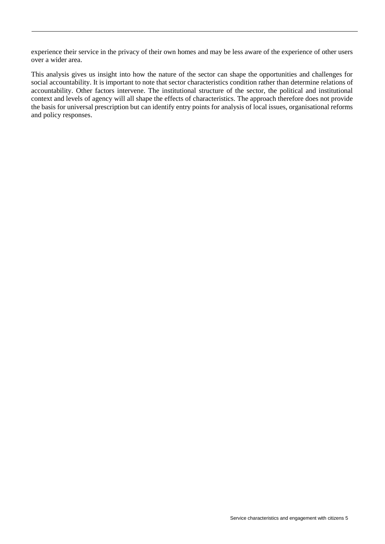experience their service in the privacy of their own homes and may be less aware of the experience of other users over a wider area.

This analysis gives us insight into how the nature of the sector can shape the opportunities and challenges for social accountability. It is important to note that sector characteristics condition rather than determine relations of accountability. Other factors intervene. The institutional structure of the sector, the political and institutional context and levels of agency will all shape the effects of characteristics. The approach therefore does not provide the basis for universal prescription but can identify entry points for analysis of local issues, organisational reforms and policy responses.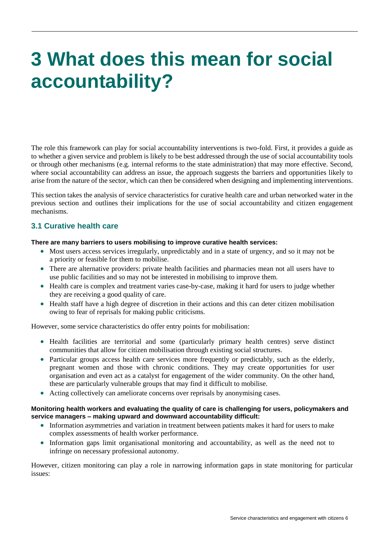## <span id="page-7-0"></span>**3 What does this mean for social accountability?**

The role this framework can play for social accountability interventions is two-fold. First, it provides a guide as to whether a given service and problem is likely to be best addressed through the use of social accountability tools or through other mechanisms (e.g. internal reforms to the state administration) that may more effective. Second, where social accountability can address an issue, the approach suggests the barriers and opportunities likely to arise from the nature of the sector, which can then be considered when designing and implementing interventions.

This section takes the analysis of service characteristics for curative health care and urban networked water in the previous section and outlines their implications for the use of social accountability and citizen engagement mechanisms.

#### <span id="page-7-1"></span>**3.1 Curative health care**

#### **There are many barriers to users mobilising to improve curative health services:**

- Most users access services irregularly, unpredictably and in a state of urgency, and so it may not be a priority or feasible for them to mobilise.
- There are alternative providers: private health facilities and pharmacies mean not all users have to use public facilities and so may not be interested in mobilising to improve them.
- Health care is complex and treatment varies case-by-case, making it hard for users to judge whether they are receiving a good quality of care.
- Health staff have a high degree of discretion in their actions and this can deter citizen mobilisation owing to fear of reprisals for making public criticisms.

However, some service characteristics do offer entry points for mobilisation:

- Health facilities are territorial and some (particularly primary health centres) serve distinct communities that allow for citizen mobilisation through existing social structures.
- Particular groups access health care services more frequently or predictably, such as the elderly, pregnant women and those with chronic conditions. They may create opportunities for user organisation and even act as a catalyst for engagement of the wider community. On the other hand, these are particularly vulnerable groups that may find it difficult to mobilise.
- Acting collectively can ameliorate concerns over reprisals by anonymising cases.

#### **Monitoring health workers and evaluating the quality of care is challenging for users, policymakers and service managers – making upward and downward accountability difficult:**

- Information asymmetries and variation in treatment between patients makes it hard for users to make complex assessments of health worker performance.
- Information gaps limit organisational monitoring and accountability, as well as the need not to infringe on necessary professional autonomy.

However, citizen monitoring can play a role in narrowing information gaps in state monitoring for particular issues: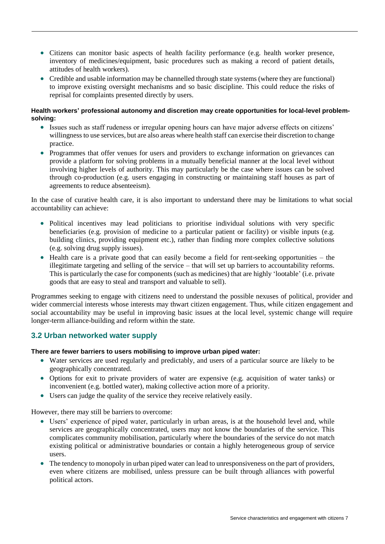- Citizens can monitor basic aspects of health facility performance (e.g. health worker presence, inventory of medicines/equipment, basic procedures such as making a record of patient details, attitudes of health workers).
- Credible and usable information may be channelled through state systems (where they are functional) to improve existing oversight mechanisms and so basic discipline. This could reduce the risks of reprisal for complaints presented directly by users.

#### **Health workers' professional autonomy and discretion may create opportunities for local-level problemsolving:**

- Issues such as staff rudeness or irregular opening hours can have major adverse effects on citizens' willingness to use services, but are also areas where health staff can exercise their discretion to change practice.
- Programmes that offer venues for users and providers to exchange information on grievances can provide a platform for solving problems in a mutually beneficial manner at the local level without involving higher levels of authority. This may particularly be the case where issues can be solved through co-production (e.g. users engaging in constructing or maintaining staff houses as part of agreements to reduce absenteeism).

In the case of curative health care, it is also important to understand there may be limitations to what social accountability can achieve:

- Political incentives may lead politicians to prioritise individual solutions with very specific beneficiaries (e.g. provision of medicine to a particular patient or facility) or visible inputs (e.g. building clinics, providing equipment etc.), rather than finding more complex collective solutions (e.g. solving drug supply issues).
- Health care is a private good that can easily become a field for rent-seeking opportunities the illegitimate targeting and selling of the service – that will set up barriers to accountability reforms. This is particularly the case for components (such as medicines) that are highly 'lootable' (i.e. private goods that are easy to steal and transport and valuable to sell).

Programmes seeking to engage with citizens need to understand the possible nexuses of political, provider and wider commercial interests whose interests may thwart citizen engagement. Thus, while citizen engagement and social accountability may be useful in improving basic issues at the local level, systemic change will require longer-term alliance-building and reform within the state.

#### <span id="page-8-0"></span>**3.2 Urban networked water supply**

#### **There are fewer barriers to users mobilising to improve urban piped water:**

- Water services are used regularly and predictably, and users of a particular source are likely to be geographically concentrated.
- Options for exit to private providers of water are expensive (e.g. acquisition of water tanks) or inconvenient (e.g. bottled water), making collective action more of a priority.
- Users can judge the quality of the service they receive relatively easily.

However, there may still be barriers to overcome:

- Users' experience of piped water, particularly in urban areas, is at the household level and, while services are geographically concentrated, users may not know the boundaries of the service. This complicates community mobilisation, particularly where the boundaries of the service do not match existing political or administrative boundaries or contain a highly heterogeneous group of service users.
- The tendency to monopoly in urban piped water can lead to unresponsiveness on the part of providers, even where citizens are mobilised, unless pressure can be built through alliances with powerful political actors.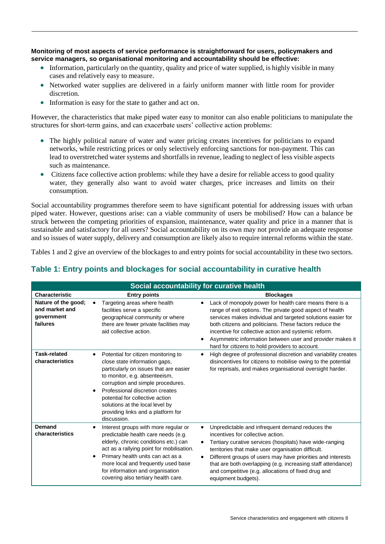**Monitoring of most aspects of service performance is straightforward for users, policymakers and service managers, so organisational monitoring and accountability should be effective:**

- Information, particularly on the quantity, quality and price of water supplied, is highly visible in many cases and relatively easy to measure.
- Networked water supplies are delivered in a fairly uniform manner with little room for provider discretion.
- Information is easy for the state to gather and act on.

However, the characteristics that make piped water easy to monitor can also enable politicians to manipulate the structures for short-term gains, and can exacerbate users' collective action problems:

- The highly political nature of water and water pricing creates incentives for politicians to expand networks, while restricting prices or only selectively enforcing sanctions for non-payment. This can lead to overstretched water systems and shortfalls in revenue, leading to neglect of less visible aspects such as maintenance.
- Citizens face collective action problems: while they have a desire for reliable access to good quality water, they generally also want to avoid water charges, price increases and limits on their consumption.

Social accountability programmes therefore seem to have significant potential for addressing issues with urban piped water. However, questions arise: can a viable community of users be mobilised? How can a balance be struck between the competing priorities of expansion, maintenance, water quality and price in a manner that is sustainable and satisfactory for all users? Social accountability on its own may not provide an adequate response and so issues of water supply, delivery and consumption are likely also to require internal reforms within the state.

Tables 1 and 2 give an overview of the blockages to and entry points for social accountability in these two sectors.

### **Table 1: Entry points and blockages for social accountability in curative health**

|                                                                 |                                                                                                                                                                                                                                                                                                                                                    | Social accountability for curative health                                                                                                                                                                                                                                                                                                                                                                                          |
|-----------------------------------------------------------------|----------------------------------------------------------------------------------------------------------------------------------------------------------------------------------------------------------------------------------------------------------------------------------------------------------------------------------------------------|------------------------------------------------------------------------------------------------------------------------------------------------------------------------------------------------------------------------------------------------------------------------------------------------------------------------------------------------------------------------------------------------------------------------------------|
| <b>Characteristic</b>                                           | <b>Entry points</b>                                                                                                                                                                                                                                                                                                                                | <b>Blockages</b>                                                                                                                                                                                                                                                                                                                                                                                                                   |
| Nature of the good;<br>and market and<br>qovernment<br>failures | Targeting areas where health<br>facilities serve a specific<br>geographical community or where<br>there are fewer private facilities may<br>aid collective action.                                                                                                                                                                                 | Lack of monopoly power for health care means there is a<br>$\bullet$<br>range of exit options. The private good aspect of health<br>services makes individual and targeted solutions easier for<br>both citizens and politicians. These factors reduce the<br>incentive for collective action and systemic reform.<br>Asymmetric information between user and provider makes it<br>hard for citizens to hold providers to account. |
| <b>Task-related</b><br>characteristics                          | Potential for citizen monitoring to<br>close state information gaps,<br>particularly on issues that are easier<br>to monitor, e.g. absenteeism,<br>corruption and simple procedures.<br>Professional discretion creates<br>potential for collective action<br>solutions at the local level by<br>providing links and a platform for<br>discussion. | High degree of professional discretion and variability creates<br>٠<br>disincentives for citizens to mobilise owing to the potential<br>for reprisals, and makes organisational oversight harder.                                                                                                                                                                                                                                  |
| Demand<br>characteristics                                       | Interest groups with more regular or<br>predictable health care needs (e.g.<br>elderly, chronic conditions etc.) can<br>act as a rallying point for mobilisation.<br>Primary health units can act as a<br>more local and frequently used base<br>for information and organisation<br>covering also tertiary health care.                           | Unpredictable and infrequent demand reduces the<br>incentives for collective action.<br>Tertiary curative services (hospitals) have wide-ranging<br>territories that make user organisation difficult.<br>Different groups of users may have priorities and interests<br>that are both overlapping (e.g. increasing staff attendance)<br>and competitive (e.g. allocations of fixed drug and<br>equipment budgets).                |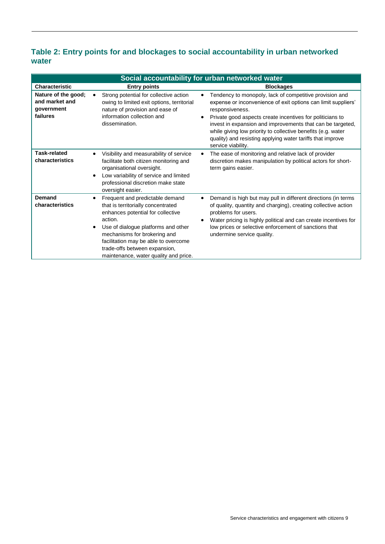### **Table 2: Entry points for and blockages to social accountability in urban networked water**

| Social accountability for urban networked water                 |                                                                                                                                                                                                                                                                                                                |                                                                                                                                                                                                                                                                                                                                                                                                                                                      |
|-----------------------------------------------------------------|----------------------------------------------------------------------------------------------------------------------------------------------------------------------------------------------------------------------------------------------------------------------------------------------------------------|------------------------------------------------------------------------------------------------------------------------------------------------------------------------------------------------------------------------------------------------------------------------------------------------------------------------------------------------------------------------------------------------------------------------------------------------------|
| Characteristic                                                  | <b>Entry points</b>                                                                                                                                                                                                                                                                                            | <b>Blockages</b>                                                                                                                                                                                                                                                                                                                                                                                                                                     |
| Nature of the good;<br>and market and<br>government<br>failures | Strong potential for collective action<br>owing to limited exit options, territorial<br>nature of provision and ease of<br>information collection and<br>dissemination.                                                                                                                                        | Tendency to monopoly, lack of competitive provision and<br>$\bullet$<br>expense or inconvenience of exit options can limit suppliers'<br>responsiveness.<br>Private good aspects create incentives for politicians to<br>$\bullet$<br>invest in expansion and improvements that can be targeted,<br>while giving low priority to collective benefits (e.g. water<br>quality) and resisting applying water tariffs that improve<br>service viability. |
| <b>Task-related</b><br>characteristics                          | Visibility and measurability of service<br>facilitate both citizen monitoring and<br>organisational oversight.<br>Low variability of service and limited<br>professional discretion make state<br>oversight easier.                                                                                            | The ease of monitoring and relative lack of provider<br>$\bullet$<br>discretion makes manipulation by political actors for short-<br>term gains easier.                                                                                                                                                                                                                                                                                              |
| <b>Demand</b><br>characteristics                                | Frequent and predictable demand<br>that is territorially concentrated<br>enhances potential for collective<br>action.<br>Use of dialogue platforms and other<br>mechanisms for brokering and<br>facilitation may be able to overcome<br>trade-offs between expansion,<br>maintenance, water quality and price. | Demand is high but may pull in different directions (in terms<br>$\bullet$<br>of quality, quantity and charging), creating collective action<br>problems for users.<br>Water pricing is highly political and can create incentives for<br>low prices or selective enforcement of sanctions that<br>undermine service quality.                                                                                                                        |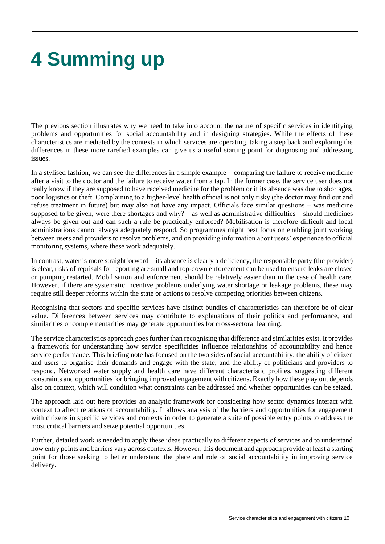# <span id="page-11-0"></span>**4 Summing up**

The previous section illustrates why we need to take into account the nature of specific services in identifying problems and opportunities for social accountability and in designing strategies. While the effects of these characteristics are mediated by the contexts in which services are operating, taking a step back and exploring the differences in these more rarefied examples can give us a useful starting point for diagnosing and addressing issues.

In a stylised fashion, we can see the differences in a simple example – comparing the failure to receive medicine after a visit to the doctor and the failure to receive water from a tap. In the former case, the service user does not really know if they are supposed to have received medicine for the problem or if its absence was due to shortages, poor logistics or theft. Complaining to a higher-level health official is not only risky (the doctor may find out and refuse treatment in future) but may also not have any impact. Officials face similar questions – was medicine supposed to be given, were there shortages and why? – as well as administrative difficulties – should medicines always be given out and can such a rule be practically enforced? Mobilisation is therefore difficult and local administrations cannot always adequately respond. So programmes might best focus on enabling joint working between users and providers to resolve problems, and on providing information about users' experience to official monitoring systems, where these work adequately.

In contrast, water is more straightforward – its absence is clearly a deficiency, the responsible party (the provider) is clear, risks of reprisals for reporting are small and top-down enforcement can be used to ensure leaks are closed or pumping restarted. Mobilisation and enforcement should be relatively easier than in the case of health care. However, if there are systematic incentive problems underlying water shortage or leakage problems, these may require still deeper reforms within the state or actions to resolve competing priorities between citizens.

Recognising that sectors and specific services have distinct bundles of characteristics can therefore be of clear value. Differences between services may contribute to explanations of their politics and performance, and similarities or complementarities may generate opportunities for cross-sectoral learning.

The service characteristics approach goes further than recognising that difference and similarities exist. It provides a framework for understanding how service specificities influence relationships of accountability and hence service performance. This briefing note has focused on the two sides of social accountability: the ability of citizen and users to organise their demands and engage with the state; and the ability of politicians and providers to respond. Networked water supply and health care have different characteristic profiles, suggesting different constraints and opportunities for bringing improved engagement with citizens. Exactly how these play out depends also on context, which will condition what constraints can be addressed and whether opportunities can be seized.

The approach laid out here provides an analytic framework for considering how sector dynamics interact with context to affect relations of accountability. It allows analysis of the barriers and opportunities for engagement with citizens in specific services and contexts in order to generate a suite of possible entry points to address the most critical barriers and seize potential opportunities.

Further, detailed work is needed to apply these ideas practically to different aspects of services and to understand how entry points and barriers vary across contexts. However, this document and approach provide at least a starting point for those seeking to better understand the place and role of social accountability in improving service delivery.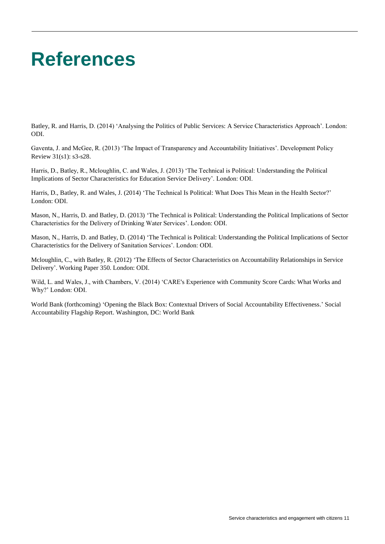### <span id="page-12-0"></span>**References**

Batley, R. and Harris, D. (2014) 'Analysing the Politics of Public Services: A Service Characteristics Approach'. London: ODI.

Gaventa, J. and McGee, R. (2013) 'The Impact of Transparency and Accountability Initiatives'. Development Policy Review [31\(s1\): s](http://onlinelibrary.wiley.com/doi/10.1111/dpr.2013.31.issue-s1/issuetoc)3-s28.

Harris, D., Batley, R., Mcloughlin, C. and Wales, J. (2013) 'The Technical is Political: Understanding the Political Implications of Sector Characteristics for Education Service Delivery'. London: ODI.

Harris, D., Batley, R. and Wales, J. (2014) 'The Technical Is Political: What Does This Mean in the Health Sector?' London: ODI.

Mason, N., Harris, D. and Batley, D. (2013) 'The Technical is Political: Understanding the Political Implications of Sector Characteristics for the Delivery of Drinking Water Services'. London: ODI.

Mason, N., Harris, D. and Batley, D. (2014) 'The Technical is Political: Understanding the Political Implications of Sector Characteristics for the Delivery of Sanitation Services'. London: ODI.

Mcloughlin, C., with Batley, R. (2012) 'The Effects of Sector Characteristics on Accountability Relationships in Service Delivery'. Working Paper 350. London: ODI.

Wild, L. and Wales, J., with Chambers, V. (2014) 'CARE's Experience with Community Score Cards: What Works and Why?' London: ODI.

World Bank (forthcoming) 'Opening the Black Box: Contextual Drivers of Social Accountability Effectiveness.' Social Accountability Flagship Report. Washington, DC: World Bank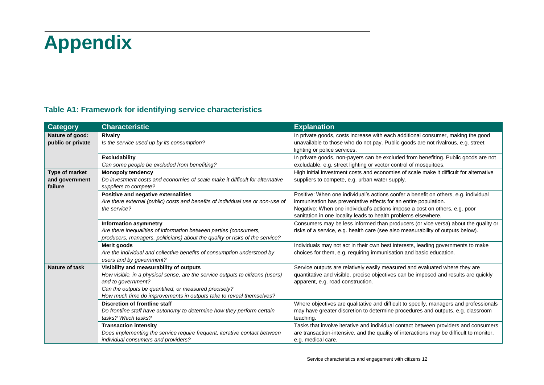# **Appendix**

### **Table A1: Framework for identifying service characteristics**

<span id="page-13-0"></span>

| <b>Category</b>                             | <b>Characteristic</b>                                                                                                                                                                                                                                                          | <b>Explanation</b>                                                                                                                                                                                                                                                                                     |
|---------------------------------------------|--------------------------------------------------------------------------------------------------------------------------------------------------------------------------------------------------------------------------------------------------------------------------------|--------------------------------------------------------------------------------------------------------------------------------------------------------------------------------------------------------------------------------------------------------------------------------------------------------|
| Nature of good:<br>public or private        | <b>Rivalry</b><br>Is the service used up by its consumption?                                                                                                                                                                                                                   | In private goods, costs increase with each additional consumer, making the good<br>unavailable to those who do not pay. Public goods are not rivalrous, e.g. street<br>lighting or police services.                                                                                                    |
|                                             | <b>Excludability</b><br>Can some people be excluded from benefiting?                                                                                                                                                                                                           | In private goods, non-payers can be excluded from benefiting. Public goods are not<br>excludable, e.g. street lighting or vector control of mosquitoes.                                                                                                                                                |
| Type of market<br>and government<br>failure | <b>Monopoly tendency</b><br>Do investment costs and economies of scale make it difficult for alternative<br>suppliers to compete?                                                                                                                                              | High initial investment costs and economies of scale make it difficult for alternative<br>suppliers to compete, e.g. urban water supply.                                                                                                                                                               |
|                                             | Positive and negative externalities<br>Are there external (public) costs and benefits of individual use or non-use of<br>the service?                                                                                                                                          | Positive: When one individual's actions confer a benefit on others, e.g. individual<br>immunisation has preventative effects for an entire population.<br>Negative: When one individual's actions impose a cost on others, e.g. poor<br>sanitation in one locality leads to health problems elsewhere. |
|                                             | <b>Information asymmetry</b><br>Are there inequalities of information between parties (consumers,<br>producers, managers, politicians) about the quality or risks of the service?                                                                                              | Consumers may be less informed than producers (or vice versa) about the quality or<br>risks of a service, e.g. health care (see also measurability of outputs below).                                                                                                                                  |
|                                             | Merit goods<br>Are the individual and collective benefits of consumption understood by<br>users and by government?                                                                                                                                                             | Individuals may not act in their own best interests, leading governments to make<br>choices for them, e.g. requiring immunisation and basic education.                                                                                                                                                 |
| <b>Nature of task</b>                       | Visibility and measurability of outputs<br>How visible, in a physical sense, are the service outputs to citizens (users)<br>and to government?<br>Can the outputs be quantified, or measured precisely?<br>How much time do improvements in outputs take to reveal themselves? | Service outputs are relatively easily measured and evaluated where they are<br>quantitative and visible, precise objectives can be imposed and results are quickly<br>apparent, e.g. road construction.                                                                                                |
|                                             | <b>Discretion of frontline staff</b><br>Do frontline staff have autonomy to determine how they perform certain<br>tasks? Which tasks?                                                                                                                                          | Where objectives are qualitative and difficult to specify, managers and professionals<br>may have greater discretion to determine procedures and outputs, e.g. classroom<br>teaching.                                                                                                                  |
|                                             | <b>Transaction intensity</b><br>Does implementing the service require frequent, iterative contact between<br>individual consumers and providers?                                                                                                                               | Tasks that involve iterative and individual contact between providers and consumers<br>are transaction-intensive, and the quality of interactions may be difficult to monitor,<br>e.g. medical care.                                                                                                   |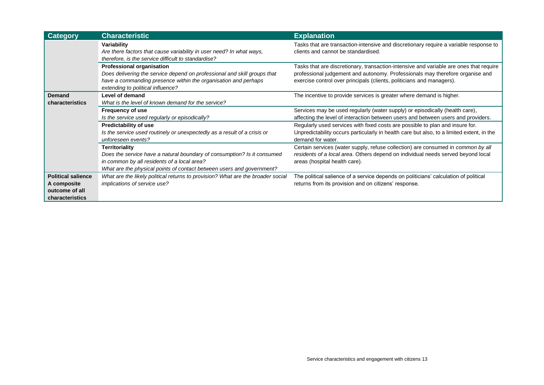| <b>Category</b>                                                               | <b>Characteristic</b>                                                                                                                                                                                                    | <b>Explanation</b>                                                                                                                                                                                                                               |
|-------------------------------------------------------------------------------|--------------------------------------------------------------------------------------------------------------------------------------------------------------------------------------------------------------------------|--------------------------------------------------------------------------------------------------------------------------------------------------------------------------------------------------------------------------------------------------|
|                                                                               | Variability<br>Are there factors that cause variability in user need? In what ways,<br>therefore, is the service difficult to standardise?                                                                               | Tasks that are transaction-intensive and discretionary require a variable response to<br>clients and cannot be standardised.                                                                                                                     |
|                                                                               | <b>Professional organisation</b><br>Does delivering the service depend on professional and skill groups that<br>have a commanding presence within the organisation and perhaps<br>extending to political influence?      | Tasks that are discretionary, transaction-intensive and variable are ones that require<br>professional judgement and autonomy. Professionals may therefore organise and<br>exercise control over principals (clients, politicians and managers). |
| Demand<br>characteristics                                                     | Level of demand<br>What is the level of known demand for the service?                                                                                                                                                    | The incentive to provide services is greater where demand is higher.                                                                                                                                                                             |
|                                                                               | <b>Frequency of use</b><br>Is the service used regularly or episodically?                                                                                                                                                | Services may be used regularly (water supply) or episodically (health care),<br>affecting the level of interaction between users and between users and providers.                                                                                |
|                                                                               | <b>Predictability of use</b><br>Is the service used routinely or unexpectedly as a result of a crisis or<br>unforeseen events?                                                                                           | Regularly used services with fixed costs are possible to plan and insure for.<br>Unpredictability occurs particularly in health care but also, to a limited extent, in the<br>demand for water.                                                  |
|                                                                               | <b>Territoriality</b><br>Does the service have a natural boundary of consumption? Is it consumed<br>in common by all residents of a local area?<br>What are the physical points of contact between users and government? | Certain services (water supply, refuse collection) are consumed in common by all<br>residents of a local area. Others depend on individual needs served beyond local<br>areas (hospital health care).                                            |
| <b>Political salience</b><br>A composite<br>outcome of all<br>characteristics | What are the likely political returns to provision? What are the broader social<br>implications of service use?                                                                                                          | The political salience of a service depends on politicians' calculation of political<br>returns from its provision and on citizens' response.                                                                                                    |